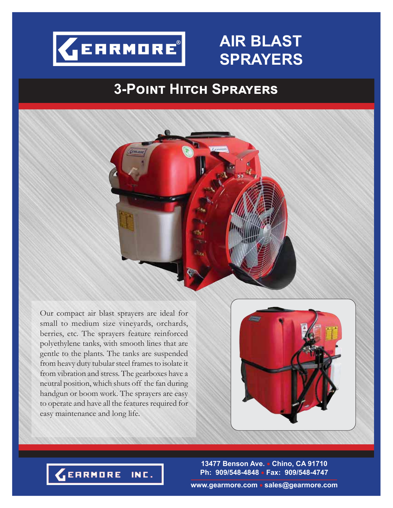

## **AIR BLAST SPRAYERS**

## **3-POINT HITCH SPRAYERS**



Our compact air blast sprayers are ideal for small to medium size vineyards, orchards, berries, etc. The sprayers feature reinforced polyethylene tanks, with smooth lines that are gentle to the plants. The tanks are suspended from heavy duty tubular steel frames to isolate it from vibration and stress. The gearboxes have a neutral position, which shuts off the fan during handgun or boom work. The sprayers are easy to operate and have all the features required for easy maintenance and long life.



**13477 Benson Ave. Chino, CA 91710 Ph: 909/548-4848 Fax: 909/548-4747**



**www.gearmore.com sales@gearmore.com**